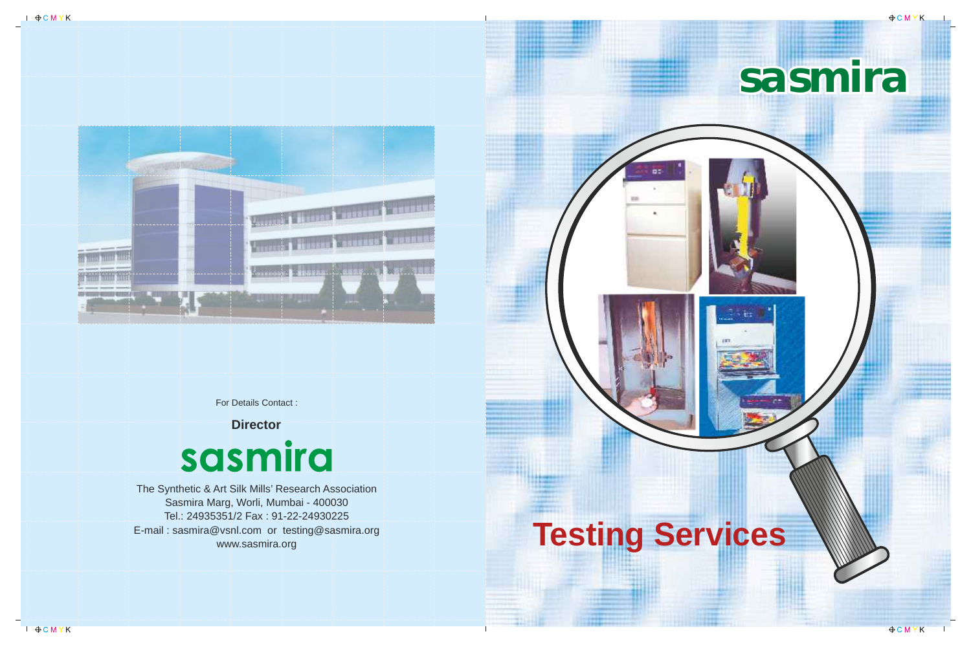

# **sasmira**

The Synthetic & Art Silk Mills' Research Association Sasmira Marg, Worli, Mumbai - 400030 Tel.: 24935351/2 Fax : 91-22-24930225 E-mail : sasmira@vsnl.com or testing@sasmira.org www.sasmira.org



For Details Contact :

**Director**

## sasmira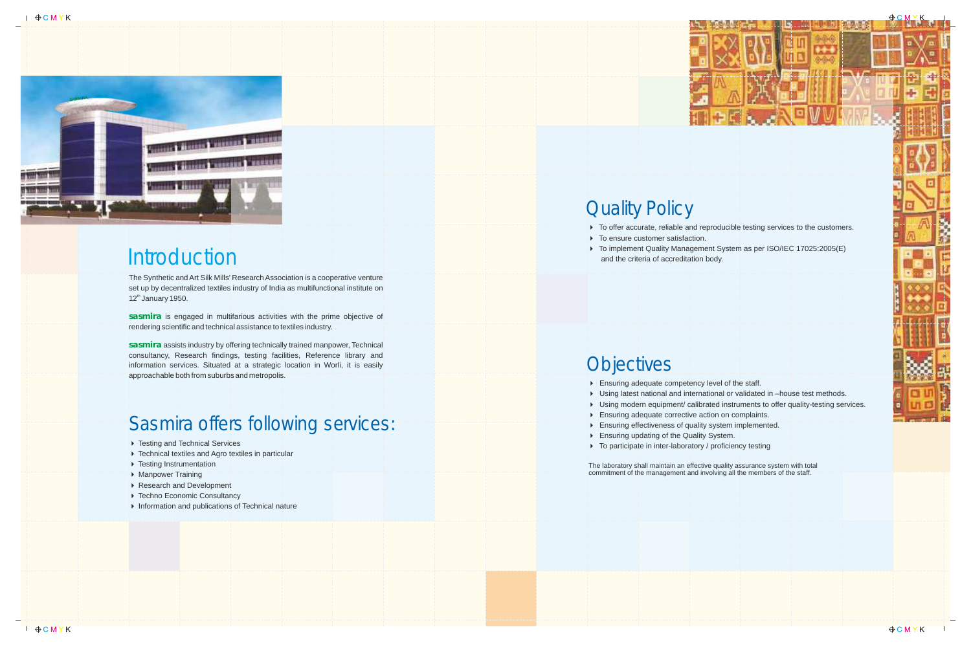

#### **Introduction**

The Synthetic and Art Silk Mills' Research Association is a cooperative venture set up by decentralized textiles industry of India as multifunctional institute on  $12<sup>th</sup>$  January 1950.

sasmira is engaged in multifarious activities with the prime objective of rendering scientific and technical assistance to textiles industry.

sasmira assists industry by offering technically trained manpower, Technical consultancy, Research findings, testing facilities, Reference library and information services. Situated at a strategic location in Worli, it is easily approachable both from suburbs and metropolis.

- ▶ Testing and Technical Services
- 4 Technical textiles and Agro textiles in particular
- **Festing Instrumentation**
- ▶ Manpower Training
- Research and Development
- Fechno Economic Consultancy
- 4 Information and publications of Technical nature

#### **Quality Policy**

- 
- $\triangleright$  To ensure customer satisfaction.
- and the criteria of accreditation body.

#### **Objectives**

#### Sasmira offers following services:

4 Ensuring adequate competency level of the staff.

4 Using latest national and international or validated in –house test methods.

4 Using modern equipment/ calibrated instruments to offer quality-testing services.

4 Ensuring adequate corrective action on complaints.

4 Ensuring effectiveness of quality system implemented.

▶ To participate in inter-laboratory / proficiency testing

- 
- 
- 
- 
- 
- 4 Ensuring updating of the Quality System.
- 

The laboratory shall maintain an effective quality assurance system with total commitment of the management and involving all the members of the staff.



 $\triangleright$  To offer accurate, reliable and reproducible testing services to the customers.

▶ To implement Quality Management System as per ISO/IEC 17025:2005(E)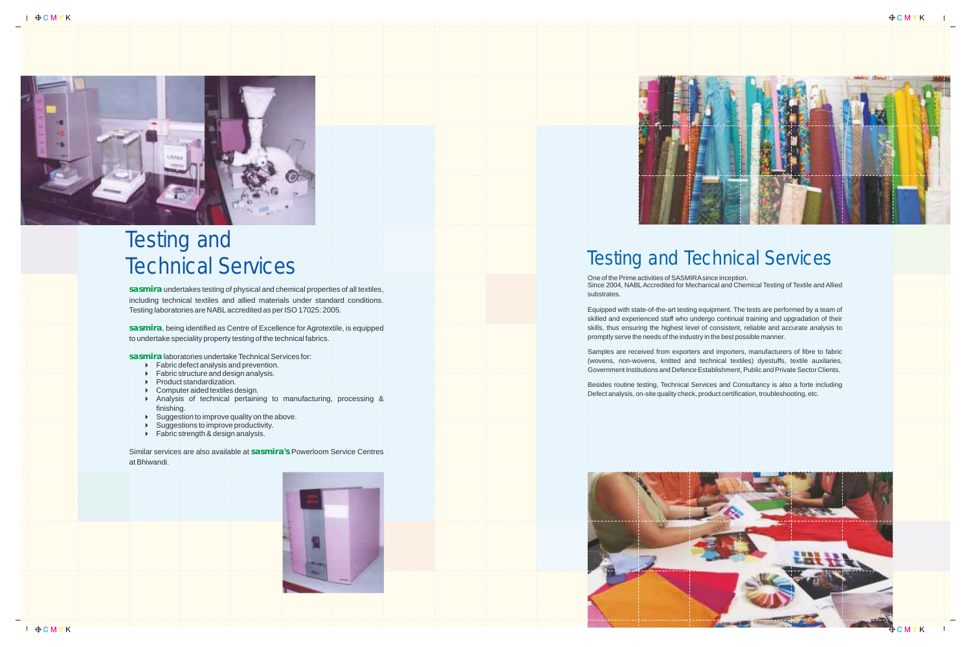

# Testing and<br>
Technical Services and demice<br>
including technical textiles and allied materials und<br>
Testing laboratories are NABL accredited as per ISO1<br>
sasmira , being identified as Centre of Excellence for<br>
to undertake

One of the Prime activities of SASMIRAsince inception. substrates.

Equipped with state-of-the-art testing equipment. The tests are performed by a team of skilled and experienced staff who undergo continual training and upgradation of their skills, thus ensuring the highest level of consistent, reliable and accurate analysis to promptly serve the needs of the industry in the best possible manner . Testing and Technical Gervice inception.<br>Since 2004, NABLAccredited for Mechanical and Chemical Testing of Textile and Alli<br>substrates.<br>Equipped with state-of-the-art testing equipment. The tests are performed by a team<br>sk

Since 2004, NABLAccredited for Mechanical and Chemical Testing of Textile and Allied

Samples are received from exporters and importers, manufacturers of fibre to fabric (wovens, non-wovens, knitted and technical textiles) dyestuffs, textile auxilaries, Government Institutions and Defence Establishment, Public and Private Sector Clients.

- 4 Fabric defect analysis and prevention.
- **Fabric structure and design analysis.**
- 4 Product standardization.
- $\triangleright$  Computer aided textiles design.
- 4 Analysis of technical pertaining to manufacturing, processing & finishing.
- $\blacktriangleright$  Suggestion to improve quality on the above.
- ▶ Suggestions to improve productivity.
- ▶ Fabric strength & design analysis.

Similar services are also available at sasmira's Powerloom Service Centres





Besides routine testing, Technical Services and Consultancy is also a forte including





**sasmira** undertakes testing of physical and chemical properties of all textiles, including technical textiles and allied materials under standard conditions. Testing laboratories are NABLaccredited as per ISO 17025: 2005.

**sasmira** , being identified as Centre of Excellence for Agrotextile, is equipped to undertake speciality property testing of the technical fabrics.

**sasmira** laboratories undertake Technical Services for: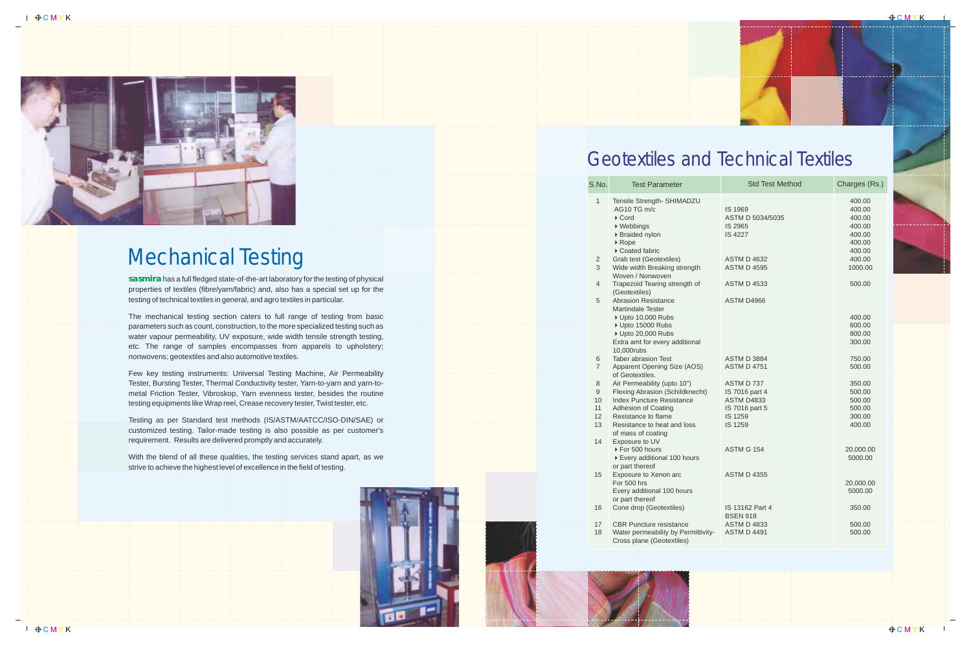**sasmira**has a full fledged state-of-the-art laboratory for the testing of physical properties of textiles (fibre/yarn/fabric) and, also has a special set up for the testing of technical textiles in general, and agro textiles in particular.

The mechanical testing section caters to full range of testing from basic parameters such as count, construction, to the more specialized testing such as water vapour permeability, UV exposure, wide width tensile strength testing, etc. The range of samples encompasses from apparels to upholstery; nonwovens; geotextiles and also automotive textiles.

Few key testing instruments: Universal Testing Machine, Air Permeability Tester, Bursting Tester, Thermal Conductivity tester, Yarn-to-yarn and yarn-tometal Friction Tester, Vibroskop, Yarn evenness tester, besides the routine testing equipments like Wrap reel, Crease recovery tester, Twist tester, etc.

Testing as per Standard test methods (IS/ASTM/AATCC/ISO-DIN/SAE) or customized testing. Tailor-made testing is also possible as per customer's requirement. Results are delivered promptly and accurately .

With the blend of all these qualities, the testing services stand apart, as we strive to achieve the highest level of excellence in the field of testing.





#### Mechanical Testing

| S.No.                                          | <b>Test Parameter</b>                                                                                                                                                                                 | <b>Std Test Method</b>                                                                    | Charges (Rs.)                                                                |  |
|------------------------------------------------|-------------------------------------------------------------------------------------------------------------------------------------------------------------------------------------------------------|-------------------------------------------------------------------------------------------|------------------------------------------------------------------------------|--|
| $\mathbf{1}$<br>$\overline{c}$                 | Tensile Strength- SHIMADZU<br>AG10 TG m/c<br>$\triangleright$ Cord<br>▶ Webbings<br>▶ Braided nylon<br>$\triangleright$ Rope<br>Coated fabric<br>Grab test (Geotextiles)                              | IS 1969<br>ASTM D 5034/5035<br>IS 2965<br><b>IS 4227</b><br><b>ASTM D 4632</b>            | 400.00<br>400.00<br>400.00<br>400.00<br>400.00<br>400.00<br>400.00<br>400.00 |  |
| 3                                              | Wide width Breaking strength<br>Woven / Nonwoven                                                                                                                                                      | <b>ASTM D 4595</b>                                                                        | 1000.00                                                                      |  |
| $\overline{4}$                                 | Trapezoid Tearing strength of<br>(Geotextiles)                                                                                                                                                        | <b>ASTM D 4533</b>                                                                        | 500.00                                                                       |  |
| 5                                              | <b>Abrasion Resistance</b><br><b>Martindale Tester</b><br>▶ Upto 10,000 Rubs<br>▶ Upto 15000 Rubs<br>▶ Upto 20,000 Rubs<br>Extra amt for every additional                                             | ASTM D4966                                                                                | 400.00<br>600.00<br>800.00<br>300.00                                         |  |
| 6<br>$\overline{7}$                            | 10,000rubs<br><b>Taber abrasion Test</b><br>Apparent Opening Size (AOS)<br>of Geotextiles.                                                                                                            | <b>ASTM D 3884</b><br><b>ASTM D 4751</b>                                                  | 750.00<br>500.00                                                             |  |
| $\,8\,$<br>$\mathsf g$<br>10<br>11<br>12<br>13 | Air Permeability (upto 10")<br>Flexing Abrasion (Schildknecht)<br><b>Index Puncture Resistance</b><br>Adhesion of Coating<br>Resistance to flame<br>Resistance to heat and loss<br>of mass of coating | ASTM D 737<br>IS 7016 part 4<br><b>ASTM D4833</b><br>IS 7016 part 5<br>IS 1259<br>IS 1259 | 350.00<br>500.00<br>500.00<br>500.00<br>300.00<br>400.00                     |  |
| 14                                             | Exposure to UV<br>▶ For 500 hours<br>▶ Every additional 100 hours<br>or part thereof                                                                                                                  | <b>ASTM G 154</b>                                                                         | 20,000.00<br>5000.00                                                         |  |
| 15                                             | Exposure to Xenon arc<br>For 500 hrs<br>Every additional 100 hours<br>or part thereof                                                                                                                 | <b>ASTM D 4355</b>                                                                        | 20,000.00<br>5000.00                                                         |  |
| 16                                             | Cone drop (Geotextiles)                                                                                                                                                                               | IS 13162 Part 4<br><b>BSEN 918</b>                                                        | 350.00                                                                       |  |
| 17<br>18                                       | <b>CBR Puncture resistance</b><br>Water permeability by Permittivity-<br>Cross plane (Geotextiles)                                                                                                    | <b>ASTM D 4833</b><br><b>ASTM D 4491</b>                                                  | 500.00<br>500.00                                                             |  |
|                                                |                                                                                                                                                                                                       |                                                                                           |                                                                              |  |





 $\theta$ CMYK

### Geotextiles and Technical Textiles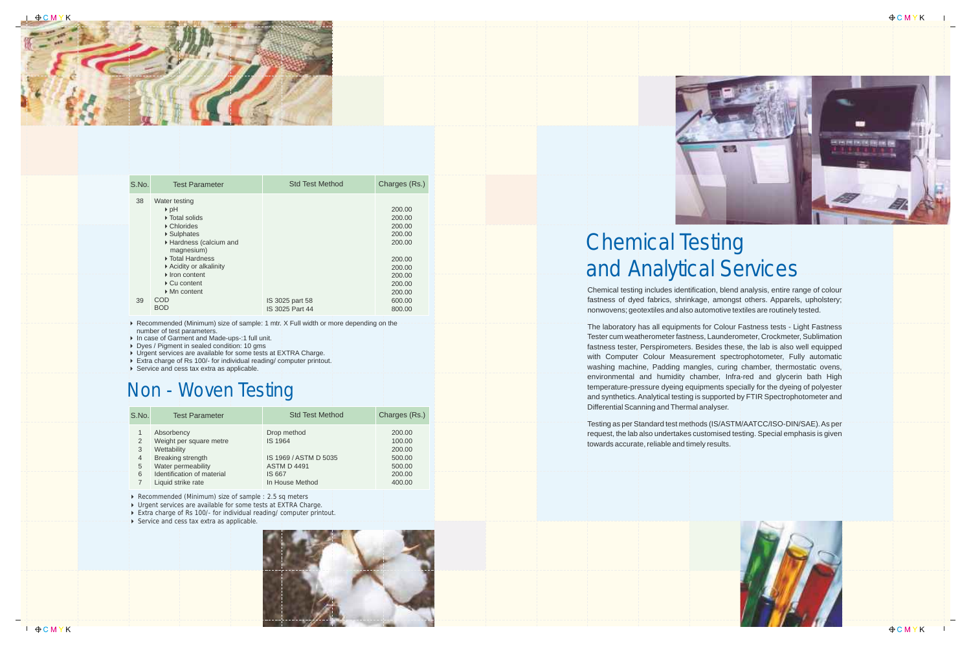Chemical testing includes identification, blend analysis, entire range of colour fastness of dyed fabrics, shrinkage, amongst others. Apparels, upholstery; nonwovens; geotextiles and also automotive textiles are routinely tested.

The laboratory has all equipments for Colour Fastness tests - Light Fastness Tester cum weatherometer fastness, Launderometer, Crockmeter, Sublimation fastness tester, Perspirometers. Besides these, the lab is also well equipped with Computer Colour Measurement spectrophotometer, Fully automatic washing machine, Padding mangles, curing chamber, thermostatic ovens, environmental and humidity chamber, Infra-red and glycerin bath High temperature-pressure dyeing equipments specially for the dyeing of polyester and synthetics. Analytical testing is supported by FTIR Spectrophotometer and Differential Scanning and Thermal analyser.

▶ Recommended (Minimum) size of sample: 1 mtr. X Full width or more depending on the number of test parameters.

▶ In case of Garment and Made-ups-:1 full unit.

Dyes / Pigment in sealed condition: 10 gms

▶ Urgent services are available for some tests at EXTRA Charge.

▶ Extra charge of Rs 100/- for individual reading/ computer printout.

▶ Service and cess tax extra as applicable.

Testing as per Standard test methods (IS/ASTM/AATCC/ISO-DIN/SAE). As per request, the lab also undertakes customised testing. Special emphasis is given towards accurate, reliable and timely results.





## Chemical Testing and Analytical Services



| S.No. | <b>Test Parameter</b>                                                                                                                                                      | <b>Std Test Method</b>             | Charges (Rs.)                                                      |
|-------|----------------------------------------------------------------------------------------------------------------------------------------------------------------------------|------------------------------------|--------------------------------------------------------------------|
| 38    | Water testing<br>$\triangleright$ pH<br>▶ Total solids<br>▶ Chlorides<br>▶ Sulphates<br>Hardness (calcium and<br>magnesium)<br>▶ Total Hardness<br>▶ Acidity or alkalinity |                                    | 200.00<br>200.00<br>200.00<br>200.00<br>200.00<br>200.00<br>200.00 |
|       | $\blacktriangleright$ Iron content<br>$\triangleright$ Cu content<br>$\triangleright$ Mn content<br><b>COD</b>                                                             |                                    | 200.00<br>200.00<br>200.00                                         |
| 39    | <b>BOD</b>                                                                                                                                                                 | IS 3025 part 58<br>IS 3025 Part 44 | 600.00<br>800.00                                                   |

4 Urgent services are available for some tests at EXTRA Charge.

Extra charge of Rs 100/- for individual reading/ computer printout.

**Exercice and cess tax extra as applicable.** 



| S.No.                              | <b>Test Parameter</b>                                                                                                                               | <b>Std Test Method</b>                                                                             | Charges (Rs.)                                                      |
|------------------------------------|-----------------------------------------------------------------------------------------------------------------------------------------------------|----------------------------------------------------------------------------------------------------|--------------------------------------------------------------------|
| 2<br>3<br>$\overline{4}$<br>5<br>6 | Absorbency<br>Weight per square metre<br>Wettability<br>Breaking strength<br>Water permeability<br>Identification of material<br>Liquid strike rate | Drop method<br>IS 1964<br>IS 1969 / ASTM D 5035<br><b>ASTM D 4491</b><br>IS 667<br>In House Method | 200.00<br>100.00<br>200.00<br>500.00<br>500.00<br>200.00<br>400.00 |

▶ Recommended (Minimum) size of sample : 2.5 sq meters

#### Non - Woven Testing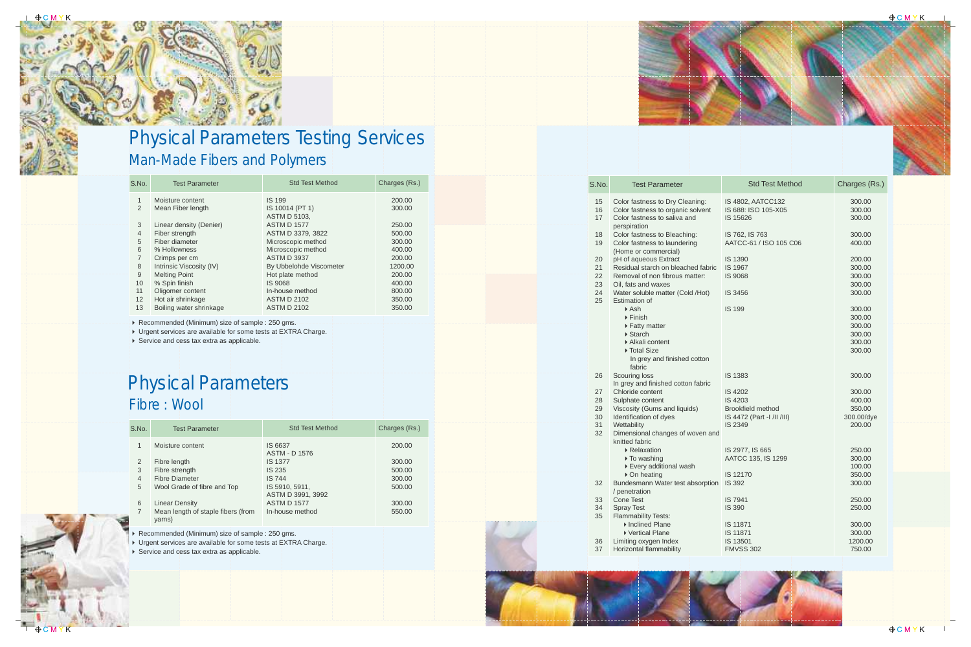#### Physical Parameters Fibre : Wool

| S.No.                                                     | <b>Test Parameter</b>                                                                                                                                                         | <b>Std Test Method</b>                                                                                                                                       | Charges (Rs.)                                                      |
|-----------------------------------------------------------|-------------------------------------------------------------------------------------------------------------------------------------------------------------------------------|--------------------------------------------------------------------------------------------------------------------------------------------------------------|--------------------------------------------------------------------|
| 1<br>2<br>3<br>$\overline{4}$<br>5<br>6<br>$\overline{7}$ | Moisture content<br>Fibre length<br>Fibre strength<br><b>Fibre Diameter</b><br>Wool Grade of fibre and Top<br><b>Linear Density</b><br>Mean length of staple fibers (from     | IS 6637<br><b>ASTM - D 1576</b><br><b>IS 1377</b><br>IS 235<br><b>IS 744</b><br>IS 5910, 5911,<br>ASTM D 3991, 3992<br><b>ASTM D 1577</b><br>In-house method | 200.00<br>300.00<br>500.00<br>300.00<br>500.00<br>300.00<br>550.00 |
|                                                           | yarns)<br>▶ Recommended (Minimum) size of sample : 250 gms.<br>▶ Urgent services are available for some tests at EXTRA Charge.<br>▶ Service and cess tax extra as applicable. |                                                                                                                                                              |                                                                    |

| S.No. | <b>Test Parameter</b>                                           | <b>Std Test Method</b>  | Charges (Rs.) |
|-------|-----------------------------------------------------------------|-------------------------|---------------|
|       | Moisture content                                                | <b>IS 199</b>           | 200.00        |
|       | Mean Fiber length                                               | IS 10014 (PT 1)         | 300.00        |
|       |                                                                 | <b>ASTM D 5103.</b>     |               |
| 3     | Linear density (Denier)                                         | <b>ASTM D 1577</b>      | 250.00        |
| 4     | Fiber strength                                                  | ASTM D 3379, 3822       | 500.00        |
| 5     | Fiber diameter                                                  | Microscopic method      | 300.00        |
| 6     | % Hollowness                                                    | Microscopic method      | 400.00        |
|       | Crimps per cm                                                   | <b>ASTM D 3937</b>      | 200.00        |
| 8     | Intrinsic Viscosity (IV)                                        | By Ubbelohde Viscometer | 1200.00       |
| 9     | <b>Melting Point</b>                                            | Hot plate method        | 200.00        |
| 10    | % Spin finish                                                   | IS 9068                 | 400.00        |
| 11    | Oligomer content                                                | In-house method         | 800.00        |
| 12    | Hot air shrinkage                                               | <b>ASTM D 2102</b>      | 350.00        |
| 13    | Boiling water shrinkage                                         | <b>ASTM D 2102</b>      | 350.00        |
|       |                                                                 |                         |               |
|       | Recommended (Minimum) size of sample : 250 gms.                 |                         |               |
|       | ▶ Urgent services are available for some tests at EXTRA Charge. |                         |               |
|       | ▶ Service and cess tax extra as applicable.                     |                         |               |

#### Man-Made Fibers and Polymers Physical Parameters Testing Services

| S.No. | <b>Test Parameter</b>                                    | <b>Std Test Method</b>     | Charges (Rs.)    |
|-------|----------------------------------------------------------|----------------------------|------------------|
| 15    | Color fastness to Dry Cleaning:                          | IS 4802, AATCC132          | 300.00           |
| 16    | Color fastness to organic solvent                        | IS 688: ISO 105-X05        | 300.00           |
| 17    | Color fastness to saliva and                             | IS 15626                   | 300.00           |
|       | perspiration                                             |                            |                  |
| 18    | Color fastness to Bleaching:                             | IS 762, IS 763             | 300.00           |
| 19    | Color fastness to laundering<br>(Home or commercial)     | AATCC-61 / ISO 105 C06     | 400.00           |
| 20    | pH of aqueous Extract                                    | <b>IS 1390</b>             | 200.00           |
| 21    | Residual starch on bleached fabric                       | IS 1967                    | 300.00           |
| 22    | Removal of non fibrous matter:                           | <b>IS 9068</b>             | 300.00           |
| 23    | Oil, fats and waxes                                      |                            | 300.00           |
| 24    | Water soluble matter (Cold /Hot)                         | IS 3456                    | 300.00           |
| 25    | Estimation of                                            |                            |                  |
|       | $\triangleright$ Ash<br>$\triangleright$ Finish          | <b>IS 199</b>              | 300.00           |
|       | ▶ Fatty matter                                           |                            | 300.00<br>300.00 |
|       | $\triangleright$ Starch                                  |                            | 300.00           |
|       | Alkali content                                           |                            | 300.00           |
|       | ▶ Total Size                                             |                            | 300.00           |
|       | In grey and finished cotton                              |                            |                  |
|       | fabric                                                   |                            |                  |
| 26    | Scouring loss                                            | <b>IS 1383</b>             | 300.00           |
|       | In grey and finished cotton fabric                       |                            |                  |
| 27    | Chloride content                                         | <b>IS 4202</b>             | 300.00           |
| 28    | Sulphate content                                         | IS 4203                    | 400.00           |
| 29    | Viscosity (Gums and liquids)                             | <b>Brookfield method</b>   | 350.00           |
| 30    | Identification of dyes                                   | IS 4472 (Part -I /II /III) | 300.00/dye       |
| 31    | Wettability                                              | <b>IS 2349</b>             | 200.00           |
| 32    | Dimensional changes of woven and                         |                            |                  |
|       | knitted fabric                                           |                            |                  |
|       | ▶ Relaxation                                             | IS 2977, IS 665            | 250.00           |
|       | ▶ To washing                                             | AATCC 135, IS 1299         | 300.00           |
|       | ▶ Every additional wash                                  |                            | 100.00           |
|       | ▶ On heating                                             | IS 12170                   | 350.00           |
| 32    | Bundesmann Water test absorption IS 392<br>/ penetration |                            | 300.00           |
| 33    | <b>Cone Test</b>                                         | <b>IS 7941</b>             | 250.00           |
| 34    | <b>Spray Test</b>                                        | <b>IS 390</b>              | 250.00           |
| 35    | Flammability Tests:                                      |                            |                  |
|       | Inclined Plane                                           | IS 11871                   | 300.00           |
|       | ▶ Vertical Plane                                         | IS 11871                   | 300.00           |
| 36    | Limiting oxygen Index                                    | IS 13501                   | 1200.00          |
| 37    | Horizontal flammability                                  | <b>FMVSS 302</b>           | 750.00           |



 $\bigoplus$  CMYK



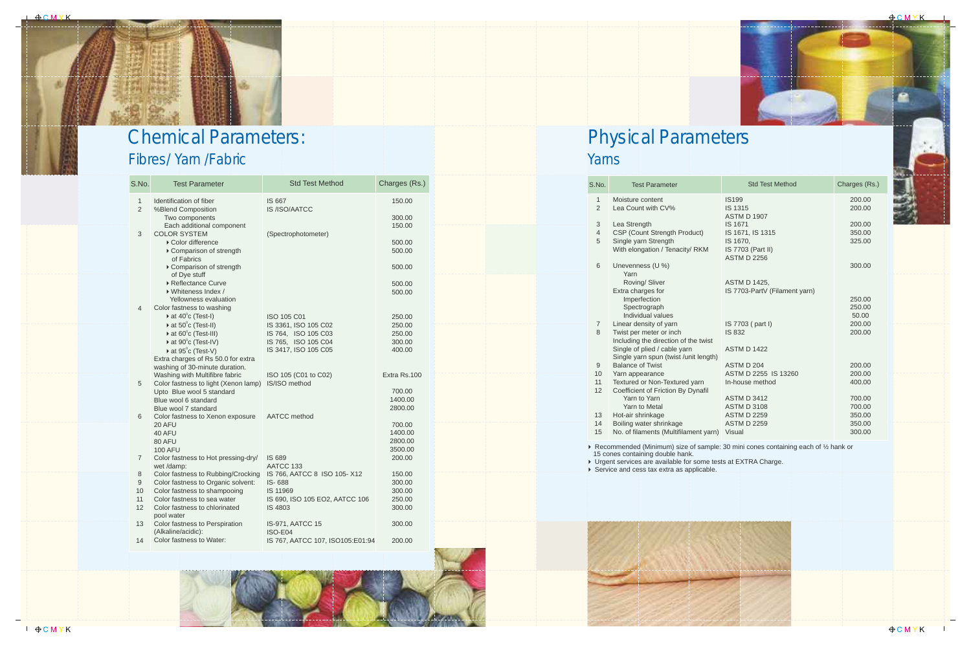| Yarns                               |                                                                                                                                                                    |                                                                                                |                                                |
|-------------------------------------|--------------------------------------------------------------------------------------------------------------------------------------------------------------------|------------------------------------------------------------------------------------------------|------------------------------------------------|
| S.No.                               | <b>Test Parameter</b>                                                                                                                                              | <b>Std Test Method</b>                                                                         | Charges (Rs.)                                  |
| $\mathbf{1}$<br>$\overline{2}$<br>3 | Moisture content<br>Lea Count with CV%<br>Lea Strength                                                                                                             | <b>IS199</b><br><b>IS 1315</b><br><b>ASTM D 1907</b><br><b>IS 1671</b>                         | 200.00<br>200.00<br>200.00                     |
| 4<br>5                              | CSP (Count Strength Product)<br>Single yarn Strength<br>With elongation / Tenacity/ RKM                                                                            | IS 1671, IS 1315<br>IS 1670,<br>IS 7703 (Part II)<br><b>ASTM D 2256</b>                        | 350.00<br>325.00                               |
| 6                                   | Unevenness (U %)<br>Yarn<br>Roving/ Sliver<br>Extra charges for                                                                                                    | ASTM D 1425,<br>IS 7703-PartV (Filament yarn)                                                  | 300.00                                         |
|                                     | Imperfection<br>Spectrograph<br>Individual values                                                                                                                  |                                                                                                | 250.00<br>250.00<br>50.00                      |
| $\overline{7}$<br>8                 | Linear density of yarn<br>Twist per meter or inch<br>Including the direction of the twist<br>Single of plied / cable yarn<br>Single yarn spun (twist /unit length) | IS 7703 (part I)<br><b>IS 832</b><br><b>ASTM D 1422</b>                                        | 200.00<br>200.00                               |
| 9<br>10<br>11<br>12                 | <b>Balance of Twist</b><br>Yarn appearance<br>Textured or Non-Textured yarn<br>Coefficient of Friction By Dynafil                                                  | ASTM D 204<br>ASTM D 2255 IS 13260<br>In-house method                                          | 200.00<br>200.00<br>400.00                     |
| 13<br>14<br>15                      | Yarn to Yarn<br>Yarn to Metal<br>Hot-air shrinkage<br>Boiling water shrinkage<br>No. of filaments (Multifilament yarn)                                             | <b>ASTM D 3412</b><br><b>ASTM D 3108</b><br><b>ASTM D 2259</b><br><b>ASTM D 2259</b><br>Visual | 700.00<br>700.00<br>350.00<br>350.00<br>300.00 |
|                                     | 15 cones containing double hank.<br>▶ Urgent services are available for some tests at EXTRA Charge.<br>Service and cess tax extra as applicable.                   | ▶ Recommended (Minimum) size of sample: 30 mini cones containing each of 1/2 hank or           |                                                |



 $\theta$ CMYK



# Physical Parameters

| S.No.                          | <b>Test Parameter</b>                                                             | <b>Std Test Method</b>                      | Charges (Rs.)    |
|--------------------------------|-----------------------------------------------------------------------------------|---------------------------------------------|------------------|
| $\mathbf{1}$<br>$\overline{2}$ | Identification of fiber<br>%Blend Composition                                     | IS 667<br>IS /ISO/AATCC                     | 150.00           |
|                                | Two components                                                                    |                                             | 300.00           |
|                                | Each additional component                                                         |                                             | 150.00           |
| 3                              | <b>COLOR SYSTEM</b><br>▶ Color difference<br>Comparison of strength<br>of Fabrics | (Spectrophotometer)                         | 500.00<br>500.00 |
|                                | Comparison of strength<br>of Dye stuff                                            |                                             | 500.00           |
|                                | ▶ Reflectance Curve<br>▶ Whiteness Index /<br>Yellowness evaluation               |                                             | 500.00<br>500.00 |
| 4                              | Color fastness to washing<br>$\triangleright$ at 40°c (Test-I)                    |                                             |                  |
|                                | $\triangleright$ at 50°c (Test-II)                                                | <b>ISO 105 C01</b>                          | 250.00           |
|                                | $\triangleright$ at 60 $^{\circ}$ c (Test-III)                                    | IS 3361, ISO 105 C02<br>IS 764, ISO 105 C03 | 250.00<br>250.00 |
|                                | $\triangleright$ at 90 $^{\circ}$ c (Test-IV)                                     | IS 765, ISO 105 C04                         | 300.00           |
|                                | $\triangleright$ at 95 $^{\circ}$ c (Test-V)                                      | IS 3417, ISO 105 C05                        | 400.00           |
|                                | Extra charges of Rs 50.0 for extra<br>washing of 30-minute duration.              |                                             |                  |
|                                | Washing with Multifibre fabric                                                    | ISO 105 (C01 to C02)                        | Extra Rs.100     |
| 5                              | Color fastness to light (Xenon lamp)                                              | IS/ISO method                               |                  |
|                                | Upto Blue wool 5 standard                                                         |                                             | 700.00           |
|                                | Blue wool 6 standard                                                              |                                             | 1400.00          |
|                                | Blue wool 7 standard                                                              |                                             | 2800.00          |
| 6                              | Color fastness to Xenon exposure                                                  | AATCC method                                |                  |
|                                | 20 AFU                                                                            |                                             | 700.00           |
|                                | 40 AFU                                                                            |                                             | 1400.00          |
|                                | 80 AFU                                                                            |                                             | 2800.00          |
|                                | <b>100 AFU</b>                                                                    |                                             | 3500.00          |
| $\overline{7}$                 | Color fastness to Hot pressing-dry/<br>wet /damp:                                 | IS 689<br>AATCC 133                         | 200.00           |
| 8                              | Color fastness to Rubbing/Crocking                                                | IS 766, AATCC 8 ISO 105-X12                 | 150.00           |
| 9                              | Color fastness to Organic solvent:                                                | <b>IS-688</b>                               | 300.00           |
| 10                             | Color fastness to shampooing                                                      | IS 11969                                    | 300.00           |
| 11                             | Color fastness to sea water                                                       | IS 690, ISO 105 EO2, AATCC 106              | 250.00           |
| $12 \overline{ }$              | Color fastness to chlorinated<br>pool water                                       | IS 4803                                     | 300.00           |
| 13                             | Color fastness to Perspiration<br>(Alkaline/acidic):                              | <b>IS-971, AATCC 15</b><br>ISO-E04          | 300.00           |
| 14                             | Color fastness to Water:                                                          | IS 767, AATCC 107, ISO105:E01:94            | 200.00           |

#### Fibres/ Yarn /Fabric Chemical Parameters: